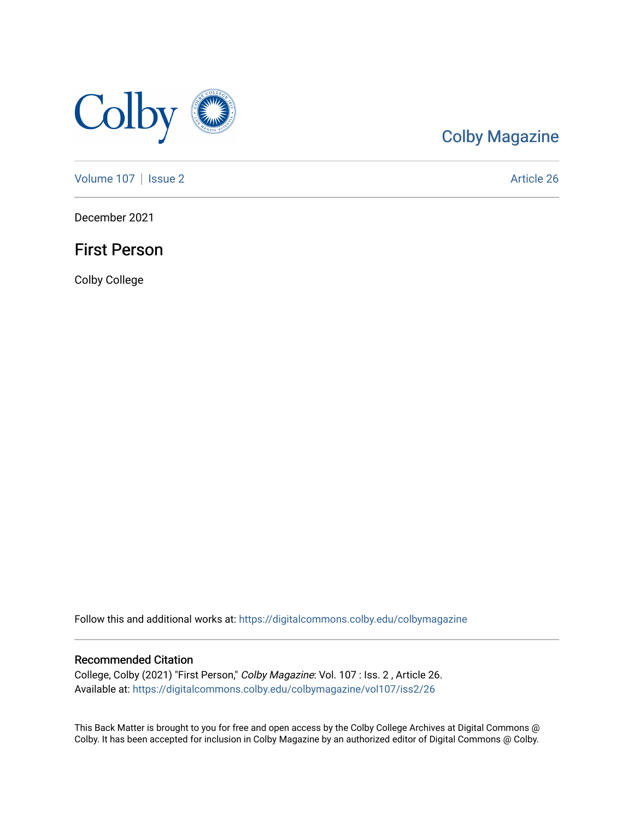

# [Colby Magazine](https://digitalcommons.colby.edu/colbymagazine)

[Volume 107](https://digitalcommons.colby.edu/colbymagazine/vol107) | [Issue 2](https://digitalcommons.colby.edu/colbymagazine/vol107/iss2) Article 26

December 2021

## First Person

Colby College

Follow this and additional works at: [https://digitalcommons.colby.edu/colbymagazine](https://digitalcommons.colby.edu/colbymagazine?utm_source=digitalcommons.colby.edu%2Fcolbymagazine%2Fvol107%2Fiss2%2F26&utm_medium=PDF&utm_campaign=PDFCoverPages)

### Recommended Citation

College, Colby (2021) "First Person," Colby Magazine: Vol. 107 : Iss. 2 , Article 26. Available at: [https://digitalcommons.colby.edu/colbymagazine/vol107/iss2/26](https://digitalcommons.colby.edu/colbymagazine/vol107/iss2/26?utm_source=digitalcommons.colby.edu%2Fcolbymagazine%2Fvol107%2Fiss2%2F26&utm_medium=PDF&utm_campaign=PDFCoverPages)

This Back Matter is brought to you for free and open access by the Colby College Archives at Digital Commons @ Colby. It has been accepted for inclusion in Colby Magazine by an authorized editor of Digital Commons @ Colby.